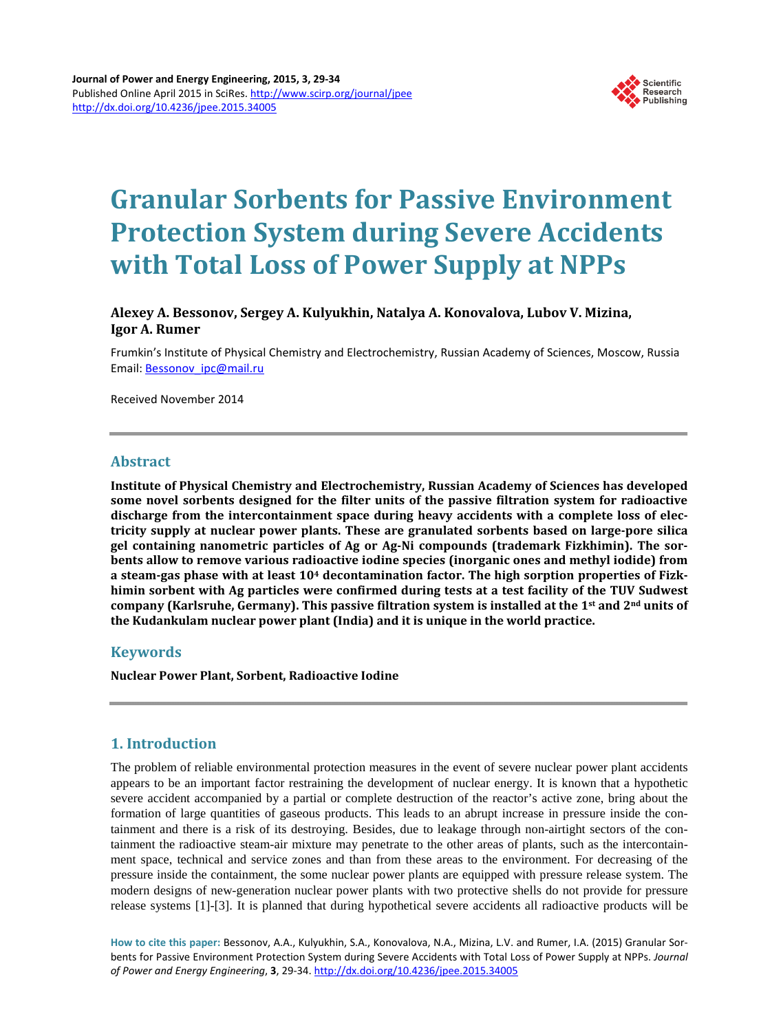

# **Granular Sorbents for Passive Environment Protection System during Severe Accidents with Total Loss of Power Supply at NPPs**

## **Alexey A. Bessonov, Sergey A. Kulyukhin, Natalya A. Konovalova, Lubov V. Mizina, Igor A. Rumer**

Frumkin's Institute of Physical Chemistry and Electrochemistry, Russian Academy of Sciences, Moscow, Russia Email: [Bessonov\\_ipc@mail.ru](mailto:Bessonov_ipc@mail.ru)

Received November 2014

#### **Abstract**

**Institute of Physical Chemistry and Electrochemistry, Russian Academy of Sciences has developed some novel sorbents designed for the filter units of the passive filtration system for radioactive discharge from the intercontainment space during heavy accidents with a complete loss of electricity supply at nuclear power plants. These are granulated sorbents based on large-pore silica gel containing nanometric particles of Ag or Ag-Ni compounds (trademark Fizkhimin). The sorbents allow to remove various radioactive iodine species (inorganic ones and methyl iodide) from a steam-gas phase with at least 104 decontamination factor. The high sorption properties of Fizkhimin sorbent with Ag particles were confirmed during tests at a test facility of the TUV Sudwest company (Karlsruhe, Germany). This passive filtration system is installed at the 1st and 2nd units of the Kudankulam nuclear power plant (India) and it is unique in the world practice.**

## **Keywords**

**Nuclear Power Plant, Sorbent, Radioactive Iodine**

## **1. Introduction**

The problem of reliable environmental protection measures in the event of severe nuclear power plant accidents appears to be an important factor restraining the development of nuclear energy. It is known that a hypothetic severe accident accompanied by a partial or complete destruction of the reactor's active zone, bring about the formation of large quantities of gaseous products. This leads to an abrupt increase in pressure inside the containment and there is a risk of its destroying. Besides, due to leakage through non-airtight sectors of the containment the radioactive steam-air mixture may penetrate to the other areas of plants, such as the intercontainment space, technical and service zones and than from these areas to the environment. For decreasing of the pressure inside the containment, the some nuclear power plants are equipped with pressure release system. The modern designs of new-generation nuclear power plants with two protective shells do not provide for pressure release systems [1]-[3]. It is planned that during hypothetical severe accidents all radioactive products will be

**How to cite this paper:** Bessonov, A.A., Kulyukhin, S.A., Konovalova, N.A., Mizina, L.V. and Rumer, I.A. (2015) Granular Sorbents for Passive Environment Protection System during Severe Accidents with Total Loss of Power Supply at NPPs. *Journal of Power and Energy Engineering*, **3**, 29-34. <http://dx.doi.org/10.4236/jpee.2015.34005>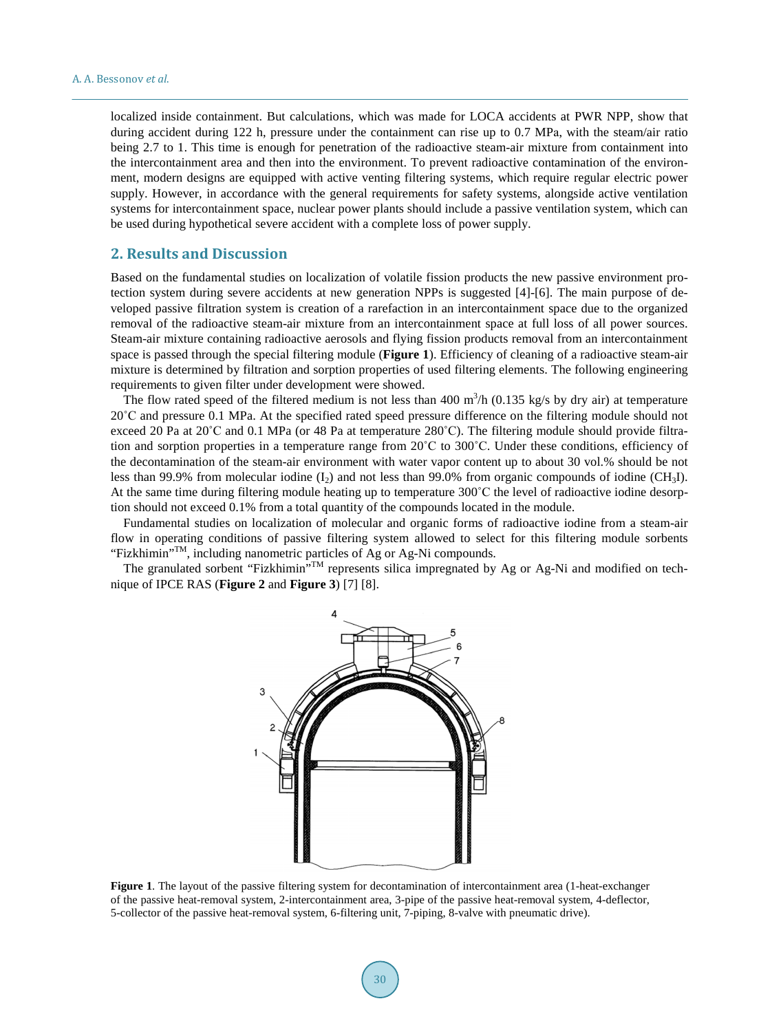localized inside containment. But calculations, which was made for LOCA accidents at PWR NPP, show that during accident during 122 h, pressure under the containment can rise up to 0.7 MPа, with the steam/air ratio being 2.7 to 1. This time is enough for penetration of the radioactive steam-air mixture from containment into the intercontainment area and then into the environment. To prevent radioactive contamination of the environment, modern designs are equipped with active venting filtering systems, which require regular electric power supply. However, in accordance with the general requirements for safety systems, alongside active ventilation systems for intercontainment space, nuclear power plants should include a passive ventilation system, which can be used during hypothetical severe accident with a complete loss of power supply.

## **2. Results and Discussion**

Based on the fundamental studies on localization of volatile fission products the new passive environment protection system during severe accidents at new generation NPPs is suggested [4]-[6]. The main purpose of developed passive filtration system is creation of a rarefaction in an intercontainment space due to the organized removal of the radioactive steam-air mixture from an intercontainment space at full loss of all power sources. Steam-air mixture containing radioactive aerosols and flying fission products removal from an intercontainment space is passed through the special filtering module (**Figure 1**). Efficiency of cleaning of a radioactive steam-air mixture is determined by filtration and sorption properties of used filtering elements. The following engineering requirements to given filter under development were showed.

The flow rated speed of the filtered medium is not less than 400  $\text{m}^3/\text{h}$  (0.135 kg/s by dry air) at temperature 20˚C and pressure 0.1 MPa. At the specified rated speed pressure difference on the filtering module should not exceed 20 Pa at 20˚C and 0.1 MPa (or 48 Pa at temperature 280˚C). The filtering module should provide filtration and sorption properties in a temperature range from 20˚C to 300˚C. Under these conditions, efficiency of the decontamination of the steam-air environment with water vapor content up to about 30 vol.% should be not less than 99.9% from molecular iodine  $(I_2)$  and not less than 99.0% from organic compounds of iodine (CH<sub>3</sub>I). At the same time during filtering module heating up to temperature 300˚C the level of radioactive iodine desorption should not exceed 0.1% from a total quantity of the compounds located in the module.

Fundamental studies on localization of molecular and organic forms of radioactive iodine from a steam-air flow in operating conditions of passive filtering system allowed to select for this filtering module sorbents "Fizkhimin"<sup>TM</sup>, including nanometric particles of Ag or Ag-Ni compounds.

The granulated sorbent "Fizkhimin"<sup>TM</sup> represents silica impregnated by Ag or Ag-Ni and modified on technique of IPCE RAS (**Figure 2** and **Figure 3**) [7] [8].



**Figure 1**. The layout of the passive filtering system for decontamination of intercontainment area (1-heat-exchanger of the passive heat-removal system, 2-intercontainment area, 3-pipe of the passive heat-removal system, 4-deflector, 5-collector of the passive heat-removal system, 6-filtering unit, 7-piping, 8-valve with pneumatic drive).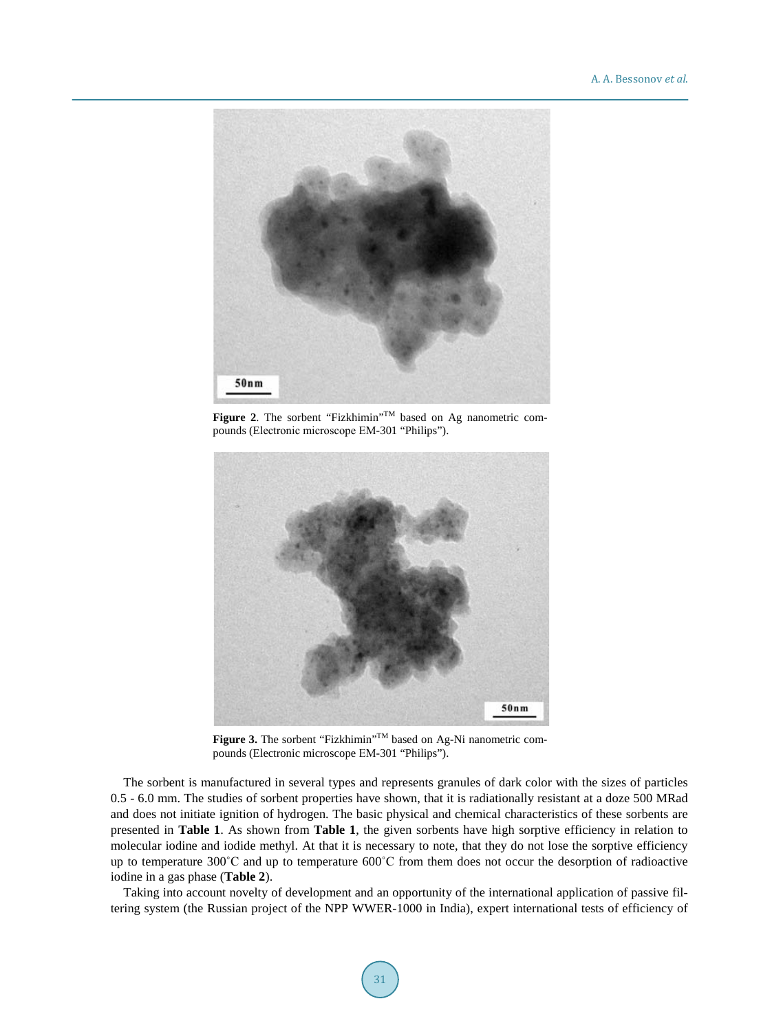

Figure 2. The sorbent "Fizkhimin"<sup>TM</sup> based on Ag nanometric compounds (Electronic microscope ЕМ-301 "Philips").



**Figure 3.** The sorbent "Fizkhimin"<sup>TM</sup> based on Ag-Ni nanometric compounds (Electronic microscope ЕМ-301 "Philips").

The sorbent is manufactured in several types and represents granules of dark color with the sizes of particles 0.5 - 6.0 mm. The studies of sorbent properties have shown, that it is radiationally resistant at a doze 500 MRad and does not initiate ignition of hydrogen. The basic physical and chemical characteristics of these sorbents are presented in **Table 1**. As shown from **Table 1**, the given sorbents have high sorptive efficiency in relation to molecular iodine and iodide methyl. At that it is necessary to note, that they do not lose the sorptive efficiency up to temperature 300˚C and up to temperature 600˚C from them does not occur the desorption of radioactive iodine in a gas phase (**Table 2**).

Taking into account novelty of development and an opportunity of the international application of passive filtering system (the Russian project of the NPP WWER-1000 in India), expert international tests of efficiency of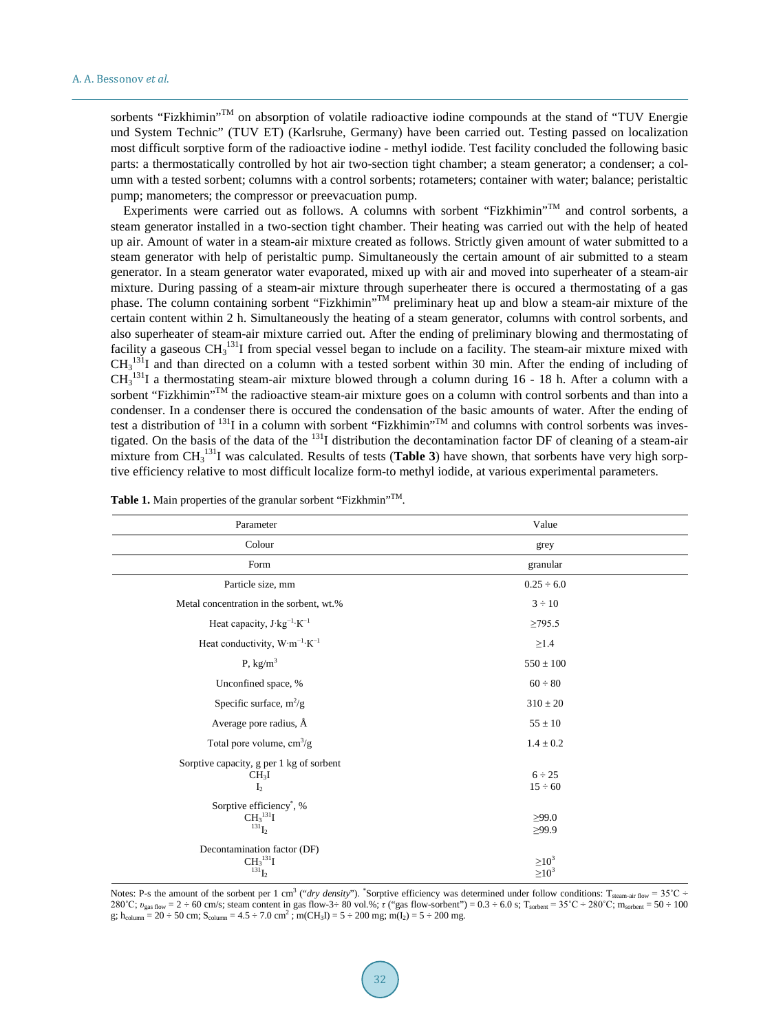sorbents "Fizkhimin"<sup>TM</sup> on absorption of volatile radioactive iodine compounds at the stand of "TUV Energie und System Technic" (TUV ET) (Karlsruhe, Germany) have been carried out. Testing passed on localization most difficult sorptive form of the radioactive iodine - methyl iodide. Test facility concluded the following basic parts: a thermostatically controlled by hot air two-section tight chamber; a steam generator; a condenser; a column with a tested sorbent; columns with a control sorbents; rotameters; container with water; balance; peristaltic pump; manometers; the compressor or preevacuation pump.

Experiments were carried out as follows. A columns with sorbent "Fizkhimin"<sup>TM</sup> and control sorbents, a steam generator installed in a two-section tight chamber. Their heating was carried out with the help of heated up air. Amount of water in a steam-air mixture created as follows. Strictly given amount of water submitted to a steam generator with help of peristaltic pump. Simultaneously the certain amount of air submitted to a steam generator. In a steam generator water evaporated, mixed up with air and moved into superheater of a steam-air mixture. During passing of a steam-air mixture through superheater there is occured a thermostating of a gas phase. The column containing sorbent "Fizkhimin"<sup>M</sup> preliminary heat up and blow a steam-air mixture of the certain content within 2 h. Simultaneously the heating of a steam generator, columns with control sorbents, and also superheater of steam-air mixture carried out. After the ending of preliminary blowing and thermostating of facility a gaseous  $CH<sub>3</sub><sup>131</sup>$  from special vessel began to include on a facility. The steam-air mixture mixed with  $CH<sub>3</sub><sup>131</sup>$ I and than directed on a column with a tested sorbent within 30 min. After the ending of including of  $CH<sub>3</sub><sup>131</sup>$ I a thermostating steam-air mixture blowed through a column during 16 - 18 h. After a column with a sorbent "Fizkhimin"<sup>TM</sup> the radioactive steam-air mixture goes on a column with control sorbents and than into a condenser. In a condenser there is occured the condensation of the basic amounts of water. After the ending of test a distribution of  $^{131}$ I in a column with sorbent "Fizkhimin"<sup> $TM$ </sup> and columns with control sorbents was investigated. On the basis of the data of the <sup>131</sup>I distribution the decontamination factor DF of cleaning of a steam-air mixture from CH<sub>3</sub><sup>131</sup>I was calculated. Results of tests (Table 3) have shown, that sorbents have very high sorptive efficiency relative to most difficult localize form-to methyl iodide, at various experimental parameters.

| Parameter                                                                              | Value                                 |  |  |  |  |
|----------------------------------------------------------------------------------------|---------------------------------------|--|--|--|--|
| Colour                                                                                 | grey                                  |  |  |  |  |
| Form                                                                                   | granular                              |  |  |  |  |
| Particle size, mm                                                                      | $0.25 \div 6.0$                       |  |  |  |  |
| Metal concentration in the sorbent, wt.%                                               | $3 \div 10$                           |  |  |  |  |
| Heat capacity, J·kg <sup>-1</sup> ·K <sup>-1</sup>                                     | $\geq$ 795.5                          |  |  |  |  |
| Heat conductivity, $W \cdot m^{-1} \cdot K^{-1}$                                       | $\geq$ 1.4                            |  |  |  |  |
| P, $\text{kg/m}^3$                                                                     | $550 \pm 100$                         |  |  |  |  |
| Unconfined space, %                                                                    | $60 \div 80$                          |  |  |  |  |
| Specific surface, $m^2/g$                                                              | $310 \pm 20$                          |  |  |  |  |
| Average pore radius, Å                                                                 | $55\pm10$                             |  |  |  |  |
| Total pore volume, $cm^3/g$                                                            | $1.4 \pm 0.2$                         |  |  |  |  |
| Sorptive capacity, g per 1 kg of sorbent<br>CH <sub>3</sub> I<br>I <sub>2</sub>        | $6 \div 25$<br>$15 \div 60$           |  |  |  |  |
| Sorptive efficiency <sup>*</sup> , %<br>CH <sub>3</sub> <sup>131</sup> I<br>$^{131}L$  | >99.0<br>>99.9                        |  |  |  |  |
| Decontamination factor (DF)<br>CH <sub>3</sub> <sup>131</sup> I<br>$^{13\tilde{1}}I_2$ | $\geq$ 10 <sup>3</sup><br>$\geq 10^3$ |  |  |  |  |

Table 1. Main properties of the granular sorbent "Fizkhmin"<sup>TM</sup>.

Notes: P-s the amount of the sorbent per 1 cm<sup>3</sup> ("*dry density*"). "Sorptive efficiency was determined under follow conditions: T<sub>steam-air flow</sub> = 35°C ÷ 280°C; *v*<sub>gas flow</sub> = 2 ÷ 60 cm/s; steam content in gas flow-3÷ 80 vol.%; *τ* ("gas flow-sorbent") = 0.3 ÷ 6.0 s; T<sub>sorbent</sub> = 35°C ÷ 280°C; m<sub>sorbent</sub> = 50 ÷ 100 g; h<sub>column</sub> = 20 ÷ 50 cm; S<sub>column</sub> = 4.5 ÷ 7.0 cm<sup>2</sup>; m(CH<sub>3</sub>I) = 5 ÷ 200 mg; m(I<sub>2</sub>) = 5 ÷ 200 mg.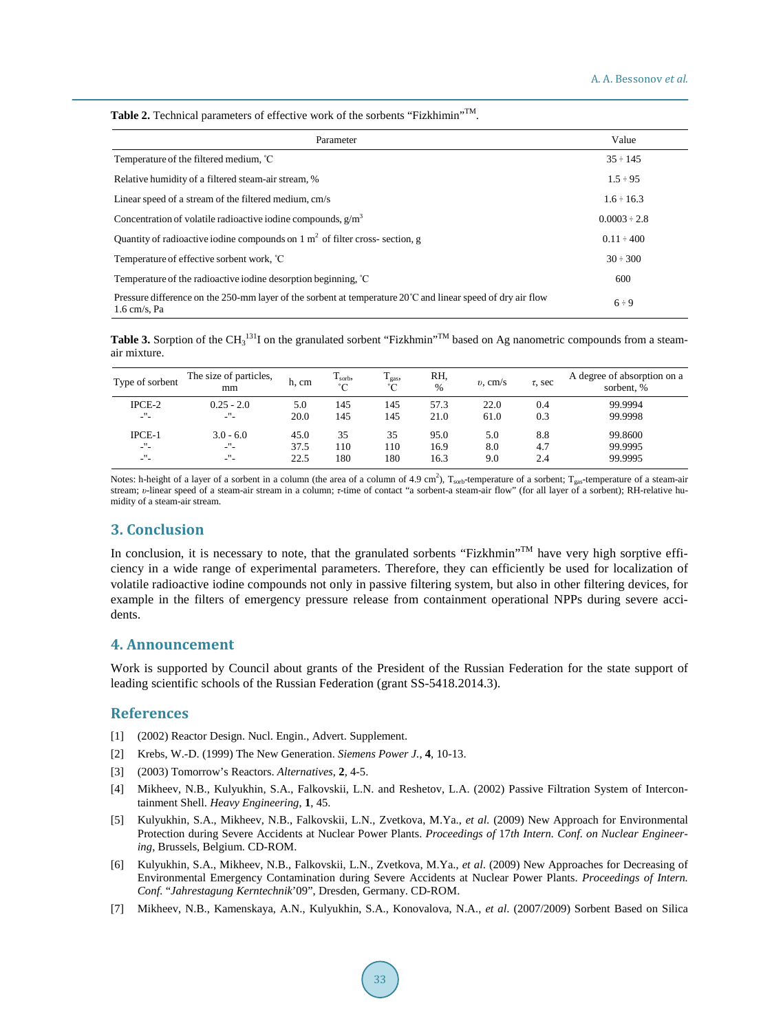Table 2. Technical parameters of effective work of the sorbents "Fizkhimin"<sup>TM</sup>.

| Parameter                                                                                                                               | Value             |
|-----------------------------------------------------------------------------------------------------------------------------------------|-------------------|
| Temperature of the filtered medium, °C                                                                                                  | $35 \div 145$     |
| Relative humidity of a filtered steam-air stream, %                                                                                     | $1.5 \div 95$     |
| Linear speed of a stream of the filtered medium, cm/s                                                                                   | $1.6 \div 16.3$   |
| Concentration of volatile radioactive iodine compounds, $g/m3$                                                                          | $0.0003 \div 2.8$ |
| Quantity of radioactive iodine compounds on $1 \text{ m}^2$ of filter cross-section, g                                                  | $0.11 \div 400$   |
| Temperature of effective sorbent work, °C                                                                                               | $30 \div 300$     |
| Temperature of the radioactive iodine desorption beginning, °C                                                                          | 600               |
| Pressure difference on the 250-mm layer of the sorbent at temperature $20^{\circ}$ C and linear speed of dry air flow<br>$1.6$ cm/s, Pa | $6 \div 9$        |

Table 3. Sorption of the CH<sub>3</sub><sup>131</sup>I on the granulated sorbent "Fizkhmin"<sup>TM</sup> based on Ag nanometric compounds from a steamair mixture.

| Type of sorbent     | The size of particles,<br>mm | h, cm | T <sub>sorb</sub><br>$\Gamma$ | $T_{\rm gas}$<br>°∩ | RH,<br>$\frac{0}{0}$ | $v$ , cm/s | $\tau$ , sec | A degree of absorption on a<br>sorbent, % |
|---------------------|------------------------------|-------|-------------------------------|---------------------|----------------------|------------|--------------|-------------------------------------------|
| $IPCE-2$            | $0.25 - 2.0$                 | 5.0   | 145                           | 145                 | 57.3                 | 22.0       | 0.4          | 99.9994                                   |
| -"-                 | -"-                          | 20.0  | 145                           | 145                 | 21.0                 | 61.0       | 0.3          | 99.9998                                   |
| $IPCE-1$            | $3.0 - 6.0$                  | 45.0  | 35                            | 35                  | 95.0                 | 5.0        | 8.8          | 99.8600                                   |
| -"-                 | -"-                          | 37.5  | 110                           | 110                 | 16.9                 | 8.0        | 4.7          | 99.9995                                   |
| $\mathbf{u}$<br>- - | $^{\prime\prime}$<br>- -     | 22.5  | 180                           | 180                 | 16.3                 | 9.0        | 2.4          | 99.9995                                   |

Notes: h-height of a layer of a sorbent in a column (the area of a column of 4.9 cm<sup>2</sup>),  $T_{\text{soth}}$ -temperature of a sorbent;  $T_{\text{gas}}$ -temperature of a steam-air stream; *υ*-linear speed of a steam-air stream in a column; *τ*-time of contact "a sorbent-a steam-air flow" (for all layer of a sorbent); RH-relative humidity of a steam-air stream.

## **3. Conclusion**

In conclusion, it is necessary to note, that the granulated sorbents "Fizkhmin"<sup>TM</sup> have very high sorptive efficiency in a wide range of experimental parameters. Therefore, they can efficiently be used for localization of volatile radioactive iodine compounds not only in passive filtering system, but also in other filtering devices, for example in the filters of emergency pressure release from containment operational NPPs during severe accidents.

## **4. Announcement**

Work is supported by Council about grants of the President of the Russian Federation for the state support of leading scientific schools of the Russian Federation (grant SS-5418.2014.3).

#### **References**

- [1] (2002) Reactor Design. Nucl. Engin., Advert. Supplement.
- [2] Krebs, W.-D. (1999) The New Generation. *Siemens Power J.*, **4**, 10-13.
- [3] (2003) Tomorrow's Reactors. *Alternatives*, **2**, 4-5.
- [4] Mikheev, N.B., Kulyukhin, S.A., Falkovskii, L.N. and Reshetov, L.A. (2002) Passive Filtration System of Intercontainment Shell. *Heavy Engineering*, **1**, 45.
- [5] Kulyukhin, S.A., Mikheev, N.B., Falkovskii, L.N., Zvetkova, M.Ya., *et al.* (2009) New Approach for Environmental Protection during Severe Accidents at Nuclear Power Plants. *Proceedings of* 17*th Intern. Conf. on Nuclear Engineering*, Brussels, Belgium. CD-ROM.
- [6] Kulyukhin, S.A., Mikheev, N.B., Falkovskii, L.N., Zvetkova, M.Ya., *et al*. (2009) New Approaches for Decreasing of Environmental Emergency Contamination during Severe Accidents at Nuclear Power Plants. *Proceedings of Intern. Conf.* "*Jahrestagung Kerntechnik*'09", Dresden, Germany. CD-ROM.
- [7] Mikheev, N.B., Kamenskaya, A.N., Kulyukhin, S.A., Konovalova, N.A., *et al*. (2007/2009) Sorbent Based on Silica